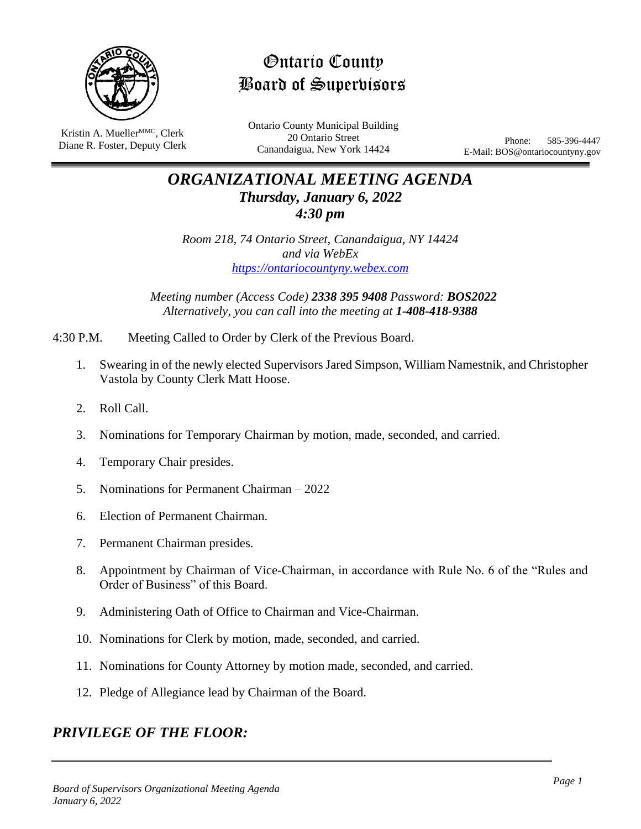

Ontario County Board of Supervisors

Kristin A. Mueller<sup>MMC</sup>, Clerk Diane R. Foster, Deputy Clerk Ontario County Municipal Building 20 Ontario Street Canandaigua, New York 14424

Phone: 585-396-4447 E-Mail: BOS@ontariocountyny.gov

# *ORGANIZATIONAL MEETING AGENDA Thursday, January 6, 2022 4:30 pm*

*Room 218, 74 Ontario Street, Canandaigua, NY 14424 and via WebEx [https://ontariocountyny.webex.com](https://ontariocountyny.webex.com/)*

*Meeting number (Access Code) 2338 395 9408 Password: BOS2022 Alternatively, you can call into the meeting at 1-408-418-9388*

4:30 P.M. Meeting Called to Order by Clerk of the Previous Board.

- 1. Swearing in of the newly elected Supervisors Jared Simpson, William Namestnik, and Christopher Vastola by County Clerk Matt Hoose.
- 2. Roll Call.
- 3. Nominations for Temporary Chairman by motion, made, seconded, and carried.
- 4. Temporary Chair presides.
- 5. Nominations for Permanent Chairman 2022
- 6. Election of Permanent Chairman.
- 7. Permanent Chairman presides.
- 8. Appointment by Chairman of Vice-Chairman, in accordance with Rule No. 6 of the "Rules and Order of Business" of this Board.
- 9. Administering Oath of Office to Chairman and Vice-Chairman.
- 10. Nominations for Clerk by motion, made, seconded, and carried.
- 11. Nominations for County Attorney by motion made, seconded, and carried.
- 12. Pledge of Allegiance lead by Chairman of the Board.

## *PRIVILEGE OF THE FLOOR:*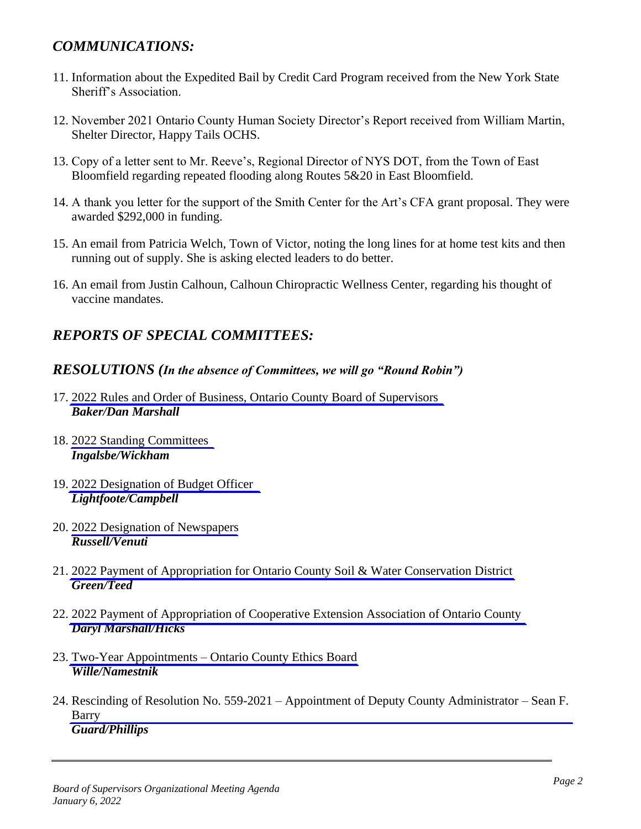## *COMMUNICATIONS:*

- 11. Information about the Expedited Bail by Credit Card Program received from the New York State Sheriff's Association.
- 12. November 2021 Ontario County Human Society Director's Report received from William Martin, Shelter Director, Happy Tails OCHS.
- 13. Copy of a letter sent to Mr. Reeve's, Regional Director of NYS DOT, from the Town of East Bloomfield regarding repeated flooding along Routes 5&20 in East Bloomfield.
- 14. A thank you letter for the support of the Smith Center for the Art's CFA grant proposal. They were awarded \$292,000 in funding.
- 15. An email from Patricia Welch, Town of Victor, noting the long lines for at home test kits and then running out of supply. She is asking elected leaders to do better.
- 16. An email from Justin Calhoun, Calhoun Chiropractic Wellness Center, regarding his thought of vaccine mandates.

## *REPORTS OF SPECIAL COMMITTEES:*

## *RESOLUTIONS (In the absence of Committees, we will go "Round Robin")*

- 17. 2022 [Rules and Order of Business, Ontario County Board of Supervisors](#page-3-0) *Baker/Dan Marshall*
- 18. 2022 [Standing Committees](#page-11-0) *Ingalsbe/Wickham*
- 19. 2022 [Designation of Budget Officer](#page-12-0) *Lightfoote/Campbell*
- 20. 2022 [Designation of Newspapers](#page-13-0) *Russell/Venuti*
- 21. 2022 [Payment of Appropriation for Ontario County Soil & Water Conservation District](#page-14-0) *Green/Teed*
- 22. 2022 [Payment of Appropriation of Cooperative Extension Association of Ontario County](#page-15-0) *Daryl Marshall/Hicks*
- 23. Two-Year Appointments [Ontario County Ethics Board](#page-17-0) *Wille/Namestnik*
- 24. Rescinding of Resolution No. 559-2021 [Appointment of Deputy County Administrator –](#page-18-0) Sean F. Barry *Guard/Phillips*

*Board of Supervisors Organizational Meeting Agenda January 6, 2022*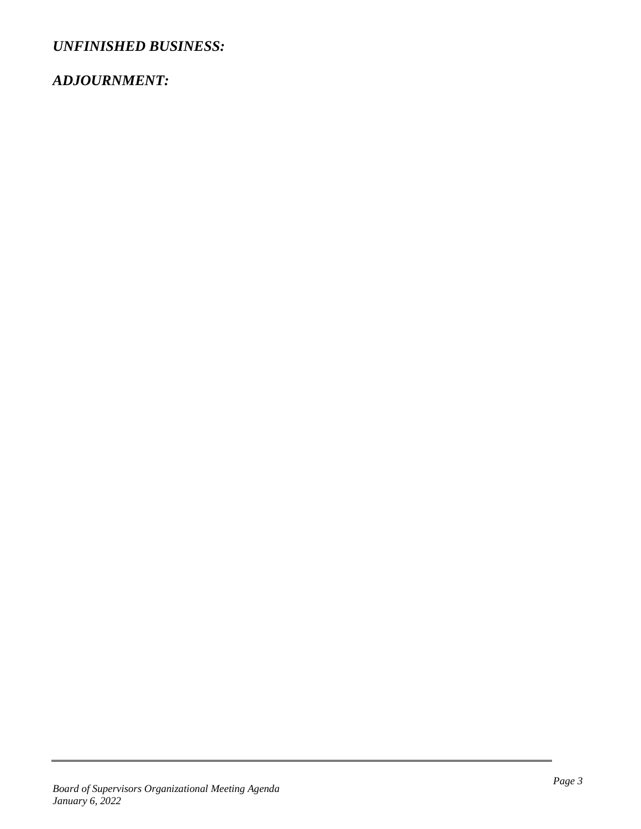*UNFINISHED BUSINESS:*

## *ADJOURNMENT:*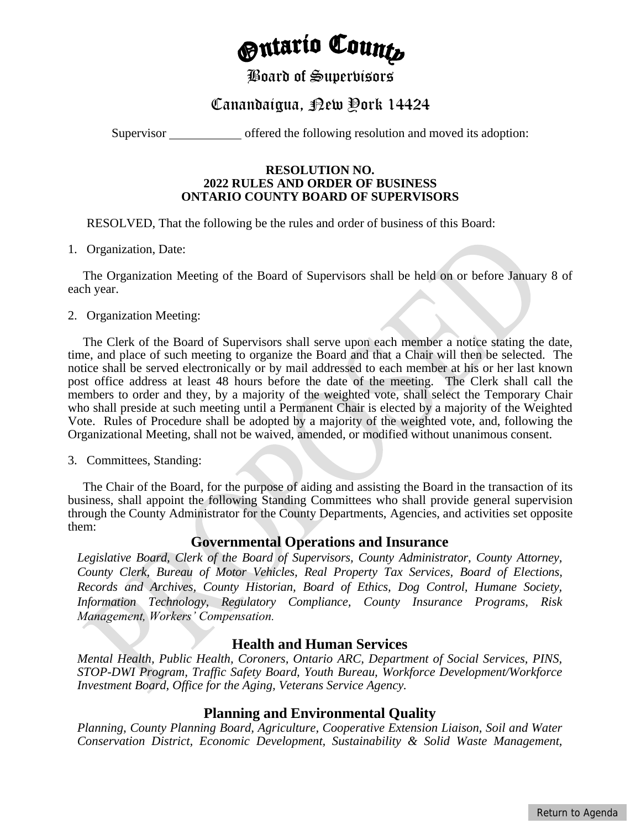# <sub>O</sub>ntarío Count<sub>o</sub>

## Board of Supervisors

# Canandaigua, Rew Pork 14424

<span id="page-3-0"></span>Supervisor offered the following resolution and moved its adoption:

#### **RESOLUTION NO. 2022 RULES AND ORDER OF BUSINESS ONTARIO COUNTY BOARD OF SUPERVISORS**

RESOLVED, That the following be the rules and order of business of this Board:

### 1. Organization, Date:

The Organization Meeting of the Board of Supervisors shall be held on or before January 8 of each year.

### 2. Organization Meeting:

The Clerk of the Board of Supervisors shall serve upon each member a notice stating the date, time, and place of such meeting to organize the Board and that a Chair will then be selected. The notice shall be served electronically or by mail addressed to each member at his or her last known post office address at least 48 hours before the date of the meeting. The Clerk shall call the members to order and they, by a majority of the weighted vote, shall select the Temporary Chair who shall preside at such meeting until a Permanent Chair is elected by a majority of the Weighted Vote. Rules of Procedure shall be adopted by a majority of the weighted vote, and, following the Organizational Meeting, shall not be waived, amended, or modified without unanimous consent.

### 3. Committees, Standing:

The Chair of the Board, for the purpose of aiding and assisting the Board in the transaction of its business, shall appoint the following Standing Committees who shall provide general supervision through the County Administrator for the County Departments, Agencies, and activities set opposite them:

## **Governmental Operations and Insurance**

*Legislative Board, Clerk of the Board of Supervisors, County Administrator, County Attorney, County Clerk, Bureau of Motor Vehicles, Real Property Tax Services, Board of Elections, Records and Archives, County Historian, Board of Ethics, Dog Control, Humane Society, Information Technology, Regulatory Compliance, County Insurance Programs, Risk Management, Workers' Compensation.*

## **Health and Human Services**

*Mental Health, Public Health, Coroners, Ontario ARC, Department of Social Services, PINS, STOP-DWI Program, Traffic Safety Board, Youth Bureau, Workforce Development/Workforce Investment Board, Office for the Aging, Veterans Service Agency.*

## **Planning and Environmental Quality**

*Planning, County Planning Board, Agriculture, Cooperative Extension Liaison, Soil and Water Conservation District, Economic Development, Sustainability & Solid Waste Management,*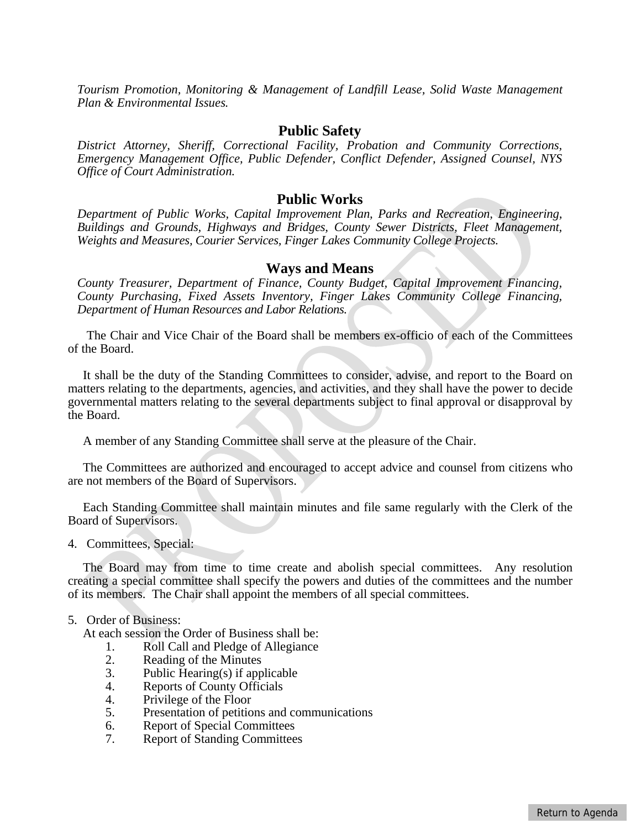*Tourism Promotion, Monitoring & Management of Landfill Lease, Solid Waste Management Plan & Environmental Issues.*

#### **Public Safety**

*District Attorney, Sheriff, Correctional Facility, Probation and Community Corrections, Emergency Management Office, Public Defender, Conflict Defender, Assigned Counsel, NYS Office of Court Administration.*

### **Public Works**

*Department of Public Works, Capital Improvement Plan, Parks and Recreation, Engineering, Buildings and Grounds, Highways and Bridges, County Sewer Districts, Fleet Management, Weights and Measures, Courier Services, Finger Lakes Community College Projects.*

#### **Ways and Means**

*County Treasurer, Department of Finance, County Budget, Capital Improvement Financing, County Purchasing, Fixed Assets Inventory, Finger Lakes Community College Financing, Department of Human Resources and Labor Relations.*

The Chair and Vice Chair of the Board shall be members ex-officio of each of the Committees of the Board.

It shall be the duty of the Standing Committees to consider, advise, and report to the Board on matters relating to the departments, agencies, and activities, and they shall have the power to decide governmental matters relating to the several departments subject to final approval or disapproval by the Board.

A member of any Standing Committee shall serve at the pleasure of the Chair.

The Committees are authorized and encouraged to accept advice and counsel from citizens who are not members of the Board of Supervisors.

Each Standing Committee shall maintain minutes and file same regularly with the Clerk of the Board of Supervisors.

4. Committees, Special:

The Board may from time to time create and abolish special committees. Any resolution creating a special committee shall specify the powers and duties of the committees and the number of its members. The Chair shall appoint the members of all special committees.

#### 5. Order of Business:

At each session the Order of Business shall be:

- 1. Roll Call and Pledge of Allegiance
- 2. Reading of the Minutes
- 3. Public Hearing(s) if applicable
- 4. Reports of County Officials
- 4. Privilege of the Floor<br>5. Presentation of petition
- 5. Presentation of petitions and communications
- 6. Report of Special Committees
- 7. Report of Standing Committees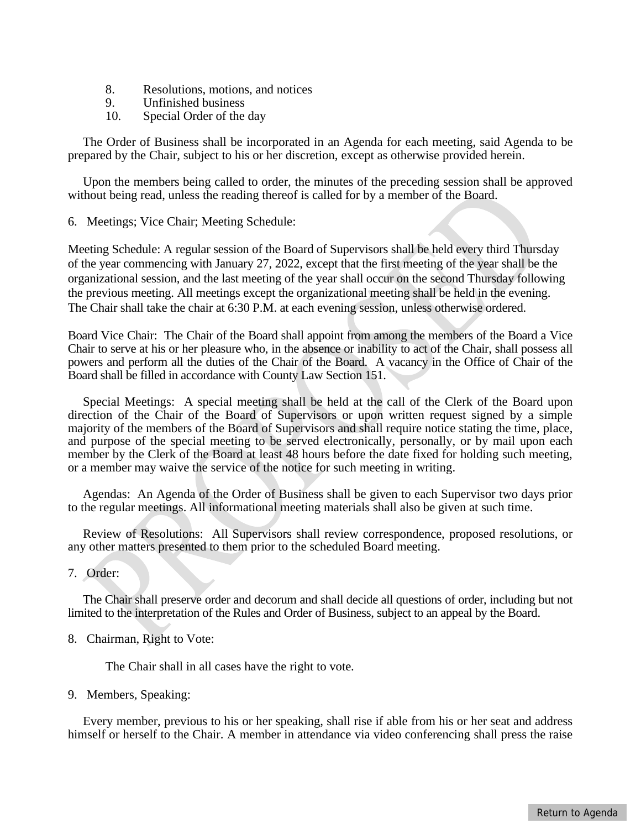- 8. Resolutions, motions, and notices
- 9. Unfinished business
- 10. Special Order of the day

The Order of Business shall be incorporated in an Agenda for each meeting, said Agenda to be prepared by the Chair, subject to his or her discretion, except as otherwise provided herein.

Upon the members being called to order, the minutes of the preceding session shall be approved without being read, unless the reading thereof is called for by a member of the Board.

6. Meetings; Vice Chair; Meeting Schedule:

Meeting Schedule: A regular session of the Board of Supervisors shall be held every third Thursday of the year commencing with January 27, 2022, except that the first meeting of the year shall be the organizational session, and the last meeting of the year shall occur on the second Thursday following the previous meeting. All meetings except the organizational meeting shall be held in the evening. The Chair shall take the chair at 6:30 P.M. at each evening session, unless otherwise ordered.

Board Vice Chair: The Chair of the Board shall appoint from among the members of the Board a Vice Chair to serve at his or her pleasure who, in the absence or inability to act of the Chair, shall possess all powers and perform all the duties of the Chair of the Board. A vacancy in the Office of Chair of the Board shall be filled in accordance with County Law Section 151.

Special Meetings: A special meeting shall be held at the call of the Clerk of the Board upon direction of the Chair of the Board of Supervisors or upon written request signed by a simple majority of the members of the Board of Supervisors and shall require notice stating the time, place, and purpose of the special meeting to be served electronically, personally, or by mail upon each member by the Clerk of the Board at least 48 hours before the date fixed for holding such meeting, or a member may waive the service of the notice for such meeting in writing.

Agendas: An Agenda of the Order of Business shall be given to each Supervisor two days prior to the regular meetings. All informational meeting materials shall also be given at such time.

Review of Resolutions: All Supervisors shall review correspondence, proposed resolutions, or any other matters presented to them prior to the scheduled Board meeting.

7. Order:

The Chair shall preserve order and decorum and shall decide all questions of order, including but not limited to the interpretation of the Rules and Order of Business, subject to an appeal by the Board.

8. Chairman, Right to Vote:

The Chair shall in all cases have the right to vote.

9. Members, Speaking:

Every member, previous to his or her speaking, shall rise if able from his or her seat and address himself or herself to the Chair. A member in attendance via video conferencing shall press the raise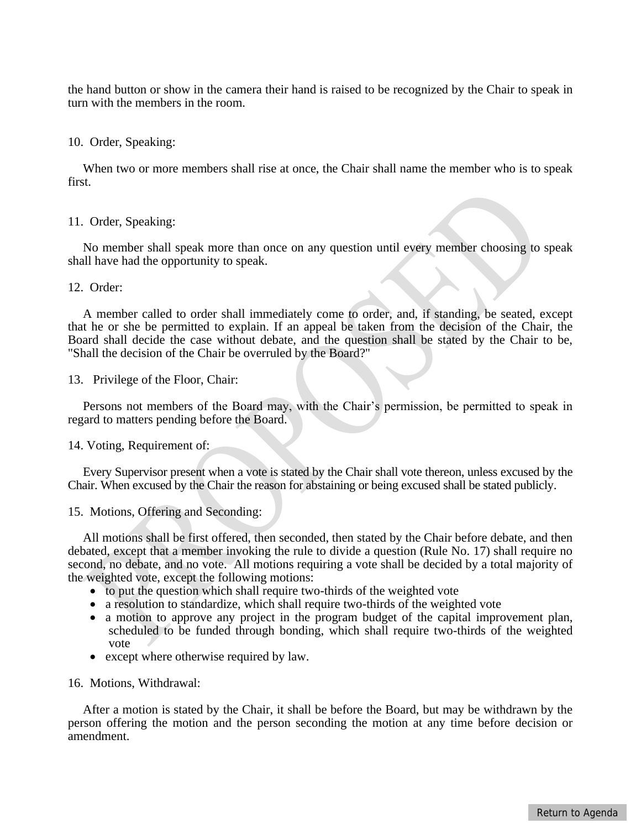the hand button or show in the camera their hand is raised to be recognized by the Chair to speak in turn with the members in the room.

#### 10. Order, Speaking:

When two or more members shall rise at once, the Chair shall name the member who is to speak first.

#### 11. Order, Speaking:

No member shall speak more than once on any question until every member choosing to speak shall have had the opportunity to speak.

#### 12. Order:

A member called to order shall immediately come to order, and, if standing, be seated, except that he or she be permitted to explain. If an appeal be taken from the decision of the Chair, the Board shall decide the case without debate, and the question shall be stated by the Chair to be, "Shall the decision of the Chair be overruled by the Board?"

13. Privilege of the Floor, Chair:

Persons not members of the Board may, with the Chair's permission, be permitted to speak in regard to matters pending before the Board.

#### 14. Voting, Requirement of:

Every Supervisor present when a vote is stated by the Chair shall vote thereon, unless excused by the Chair. When excused by the Chair the reason for abstaining or being excused shall be stated publicly.

#### 15. Motions, Offering and Seconding:

All motions shall be first offered, then seconded, then stated by the Chair before debate, and then debated, except that a member invoking the rule to divide a question (Rule No. 17) shall require no second, no debate, and no vote. All motions requiring a vote shall be decided by a total majority of the weighted vote, except the following motions:

- to put the question which shall require two-thirds of the weighted vote
- a resolution to standardize, which shall require two-thirds of the weighted vote
- a motion to approve any project in the program budget of the capital improvement plan, scheduled to be funded through bonding, which shall require two-thirds of the weighted vote
- except where otherwise required by law.

#### 16. Motions, Withdrawal:

After a motion is stated by the Chair, it shall be before the Board, but may be withdrawn by the person offering the motion and the person seconding the motion at any time before decision or amendment.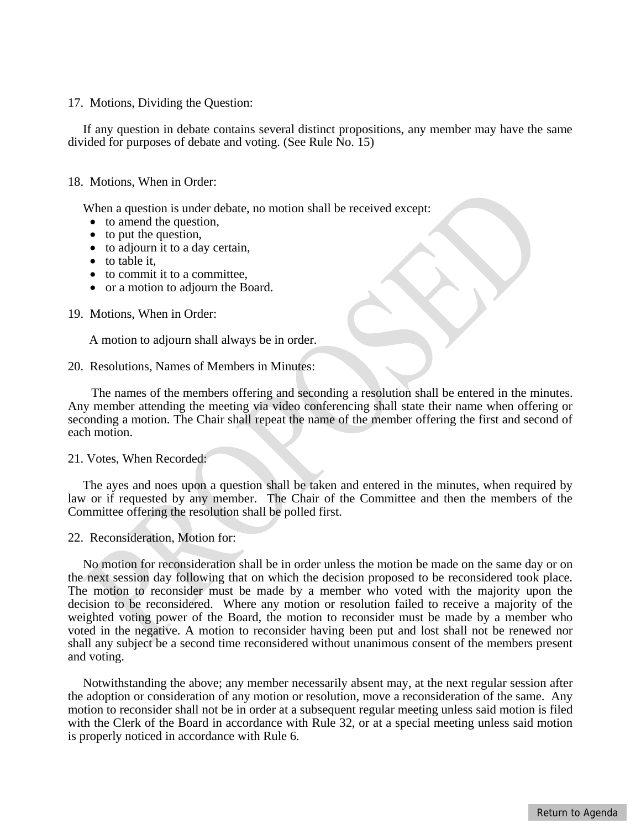17. Motions, Dividing the Question:

If any question in debate contains several distinct propositions, any member may have the same divided for purposes of debate and voting. (See Rule No. 15)

#### 18. Motions, When in Order:

When a question is under debate, no motion shall be received except:

- to amend the question,
- to put the question,
- to adjourn it to a day certain,
- to table it.
- to commit it to a committee.
- or a motion to adjourn the Board.

19. Motions, When in Order:

A motion to adjourn shall always be in order.

20. Resolutions, Names of Members in Minutes:

The names of the members offering and seconding a resolution shall be entered in the minutes. Any member attending the meeting via video conferencing shall state their name when offering or seconding a motion. The Chair shall repeat the name of the member offering the first and second of each motion.

#### 21. Votes, When Recorded:

The ayes and noes upon a question shall be taken and entered in the minutes, when required by law or if requested by any member. The Chair of the Committee and then the members of the Committee offering the resolution shall be polled first.

22. Reconsideration, Motion for:

No motion for reconsideration shall be in order unless the motion be made on the same day or on the next session day following that on which the decision proposed to be reconsidered took place. The motion to reconsider must be made by a member who voted with the majority upon the decision to be reconsidered. Where any motion or resolution failed to receive a majority of the weighted voting power of the Board, the motion to reconsider must be made by a member who voted in the negative. A motion to reconsider having been put and lost shall not be renewed nor shall any subject be a second time reconsidered without unanimous consent of the members present and voting.

Notwithstanding the above; any member necessarily absent may, at the next regular session after the adoption or consideration of any motion or resolution, move a reconsideration of the same. Any motion to reconsider shall not be in order at a subsequent regular meeting unless said motion is filed with the Clerk of the Board in accordance with Rule 32, or at a special meeting unless said motion is properly noticed in accordance with Rule 6.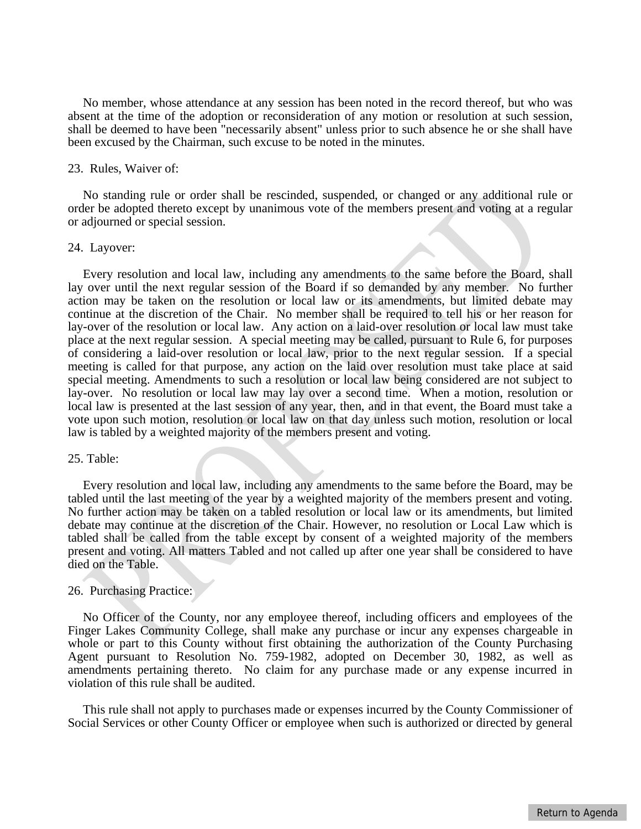No member, whose attendance at any session has been noted in the record thereof, but who was absent at the time of the adoption or reconsideration of any motion or resolution at such session, shall be deemed to have been "necessarily absent" unless prior to such absence he or she shall have been excused by the Chairman, such excuse to be noted in the minutes.

#### 23. Rules, Waiver of:

No standing rule or order shall be rescinded, suspended, or changed or any additional rule or order be adopted thereto except by unanimous vote of the members present and voting at a regular or adjourned or special session.

#### 24. Layover:

Every resolution and local law, including any amendments to the same before the Board, shall lay over until the next regular session of the Board if so demanded by any member. No further action may be taken on the resolution or local law or its amendments, but limited debate may continue at the discretion of the Chair. No member shall be required to tell his or her reason for lay-over of the resolution or local law. Any action on a laid-over resolution or local law must take place at the next regular session. A special meeting may be called, pursuant to Rule 6, for purposes of considering a laid-over resolution or local law, prior to the next regular session. If a special meeting is called for that purpose, any action on the laid over resolution must take place at said special meeting. Amendments to such a resolution or local law being considered are not subject to lay-over. No resolution or local law may lay over a second time. When a motion, resolution or local law is presented at the last session of any year, then, and in that event, the Board must take a vote upon such motion, resolution or local law on that day unless such motion, resolution or local law is tabled by a weighted majority of the members present and voting.

#### 25. Table:

Every resolution and local law, including any amendments to the same before the Board, may be tabled until the last meeting of the year by a weighted majority of the members present and voting. No further action may be taken on a tabled resolution or local law or its amendments, but limited debate may continue at the discretion of the Chair. However, no resolution or Local Law which is tabled shall be called from the table except by consent of a weighted majority of the members present and voting. All matters Tabled and not called up after one year shall be considered to have died on the Table.

#### 26. Purchasing Practice:

No Officer of the County, nor any employee thereof, including officers and employees of the Finger Lakes Community College, shall make any purchase or incur any expenses chargeable in whole or part to this County without first obtaining the authorization of the County Purchasing Agent pursuant to Resolution No. 759-1982, adopted on December 30, 1982, as well as amendments pertaining thereto. No claim for any purchase made or any expense incurred in violation of this rule shall be audited.

This rule shall not apply to purchases made or expenses incurred by the County Commissioner of Social Services or other County Officer or employee when such is authorized or directed by general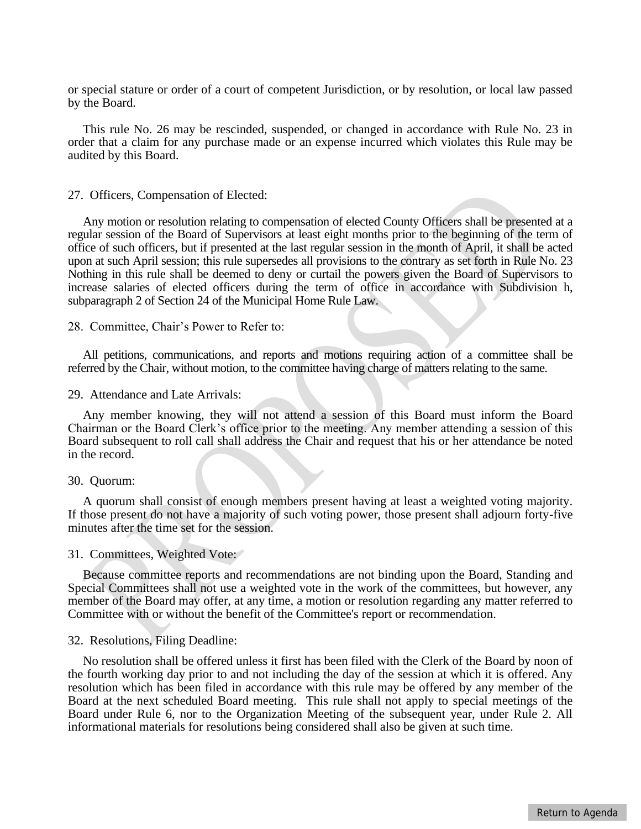or special stature or order of a court of competent Jurisdiction, or by resolution, or local law passed by the Board.

This rule No. 26 may be rescinded, suspended, or changed in accordance with Rule No. 23 in order that a claim for any purchase made or an expense incurred which violates this Rule may be audited by this Board.

#### 27. Officers, Compensation of Elected:

Any motion or resolution relating to compensation of elected County Officers shall be presented at a regular session of the Board of Supervisors at least eight months prior to the beginning of the term of office of such officers, but if presented at the last regular session in the month of April, it shall be acted upon at such April session; this rule supersedes all provisions to the contrary as set forth in Rule No. 23 Nothing in this rule shall be deemed to deny or curtail the powers given the Board of Supervisors to increase salaries of elected officers during the term of office in accordance with Subdivision h, subparagraph 2 of Section 24 of the Municipal Home Rule Law.

#### 28. Committee, Chair's Power to Refer to:

All petitions, communications, and reports and motions requiring action of a committee shall be referred by the Chair, without motion, to the committee having charge of matters relating to the same.

#### 29. Attendance and Late Arrivals:

Any member knowing, they will not attend a session of this Board must inform the Board Chairman or the Board Clerk's office prior to the meeting. Any member attending a session of this Board subsequent to roll call shall address the Chair and request that his or her attendance be noted in the record.

#### 30. Quorum:

A quorum shall consist of enough members present having at least a weighted voting majority. If those present do not have a majority of such voting power, those present shall adjourn forty-five minutes after the time set for the session.

#### 31. Committees, Weighted Vote:

Because committee reports and recommendations are not binding upon the Board, Standing and Special Committees shall not use a weighted vote in the work of the committees, but however, any member of the Board may offer, at any time, a motion or resolution regarding any matter referred to Committee with or without the benefit of the Committee's report or recommendation.

#### 32. Resolutions, Filing Deadline:

No resolution shall be offered unless it first has been filed with the Clerk of the Board by noon of the fourth working day prior to and not including the day of the session at which it is offered. Any resolution which has been filed in accordance with this rule may be offered by any member of the Board at the next scheduled Board meeting. This rule shall not apply to special meetings of the Board under Rule 6, nor to the Organization Meeting of the subsequent year, under Rule 2. All informational materials for resolutions being considered shall also be given at such time.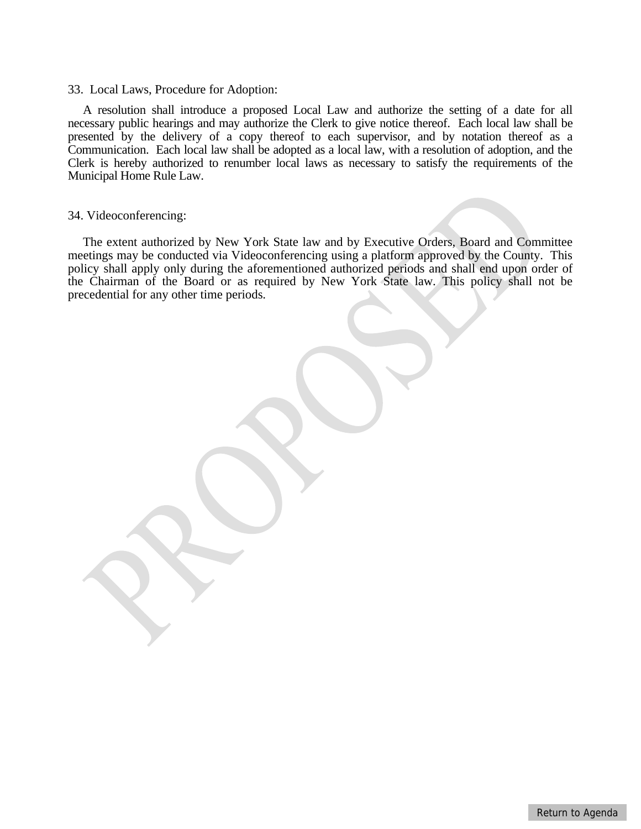#### 33. Local Laws, Procedure for Adoption:

A resolution shall introduce a proposed Local Law and authorize the setting of a date for all necessary public hearings and may authorize the Clerk to give notice thereof. Each local law shall be presented by the delivery of a copy thereof to each supervisor, and by notation thereof as a Communication. Each local law shall be adopted as a local law, with a resolution of adoption, and the Clerk is hereby authorized to renumber local laws as necessary to satisfy the requirements of the Municipal Home Rule Law.

#### 34. Videoconferencing:

The extent authorized by New York State law and by Executive Orders, Board and Committee meetings may be conducted via Videoconferencing using a platform approved by the County. This policy shall apply only during the aforementioned authorized periods and shall end upon order of the Chairman of the Board or as required by New York State law. This policy shall not be precedential for any other time periods.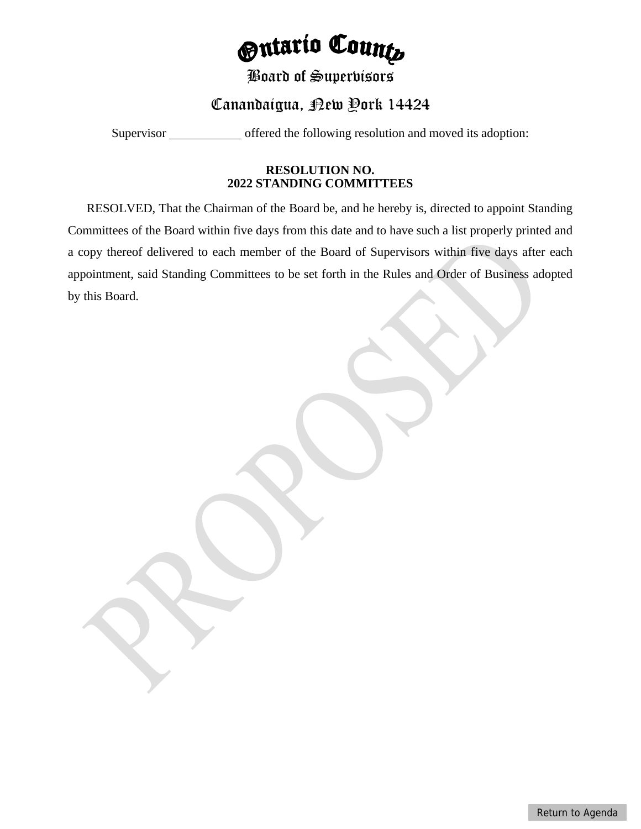# *<u>Ontario Counts</u>*

# Board of Supervisors

# Canandaigua, <sub>R</sub>ew Pork 14424

<span id="page-11-0"></span>Supervisor offered the following resolution and moved its adoption:

### **RESOLUTION NO. 2022 STANDING COMMITTEES**

RESOLVED, That the Chairman of the Board be, and he hereby is, directed to appoint Standing Committees of the Board within five days from this date and to have such a list properly printed and a copy thereof delivered to each member of the Board of Supervisors within five days after each appointment, said Standing Committees to be set forth in the Rules and Order of Business adopted by this Board.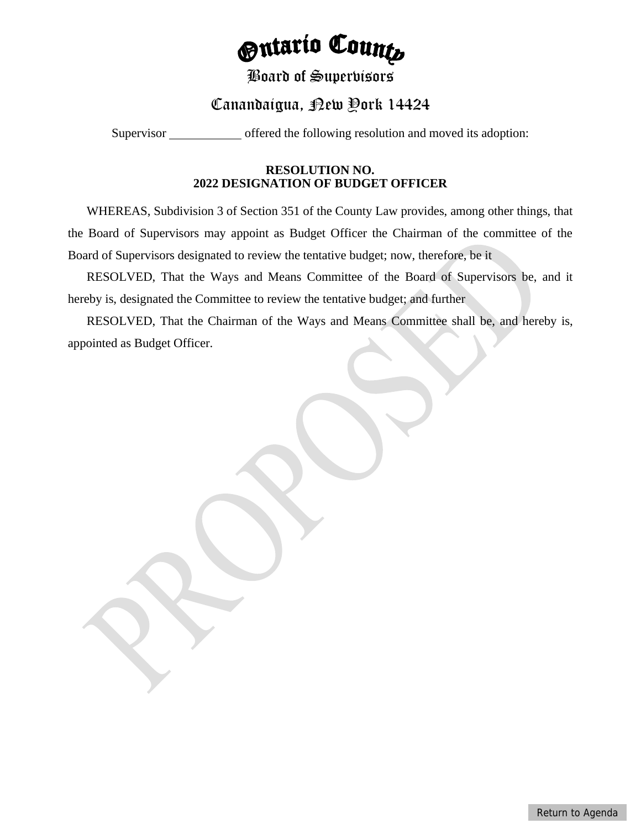# *<u>Ontario Counts</u>*

## Board of Supervisors

# Canandaigua, <sub>Pew</sub> Pork 14424

<span id="page-12-0"></span>Supervisor offered the following resolution and moved its adoption:

## **RESOLUTION NO. 2022 DESIGNATION OF BUDGET OFFICER**

WHEREAS, Subdivision 3 of Section 351 of the County Law provides, among other things, that the Board of Supervisors may appoint as Budget Officer the Chairman of the committee of the Board of Supervisors designated to review the tentative budget; now, therefore, be it

RESOLVED, That the Ways and Means Committee of the Board of Supervisors be, and it hereby is, designated the Committee to review the tentative budget; and further

RESOLVED, That the Chairman of the Ways and Means Committee shall be, and hereby is, appointed as Budget Officer.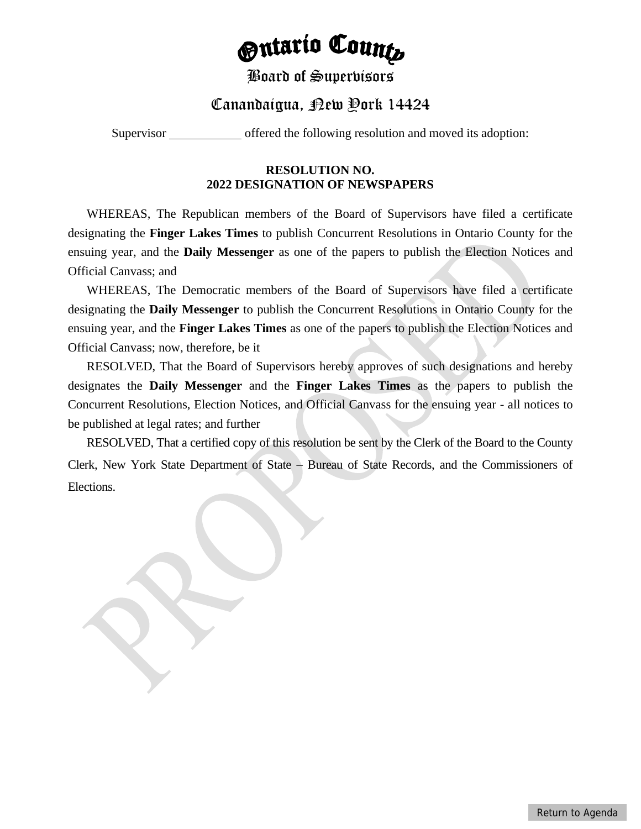# *<u> Gutario Counts</u>*

## Board of Supervisors

# Canandaigua, Rew Pork 14424

<span id="page-13-0"></span>Supervisor offered the following resolution and moved its adoption:

## **RESOLUTION NO. 2022 DESIGNATION OF NEWSPAPERS**

WHEREAS, The Republican members of the Board of Supervisors have filed a certificate designating the **Finger Lakes Times** to publish Concurrent Resolutions in Ontario County for the ensuing year, and the **Daily Messenger** as one of the papers to publish the Election Notices and Official Canvass; and

WHEREAS, The Democratic members of the Board of Supervisors have filed a certificate designating the **Daily Messenger** to publish the Concurrent Resolutions in Ontario County for the ensuing year, and the **Finger Lakes Times** as one of the papers to publish the Election Notices and Official Canvass; now, therefore, be it

RESOLVED, That the Board of Supervisors hereby approves of such designations and hereby designates the **Daily Messenger** and the **Finger Lakes Times** as the papers to publish the Concurrent Resolutions, Election Notices, and Official Canvass for the ensuing year - all notices to be published at legal rates; and further

RESOLVED, That a certified copy of this resolution be sent by the Clerk of the Board to the County Clerk, New York State Department of State – Bureau of State Records, and the Commissioners of Elections.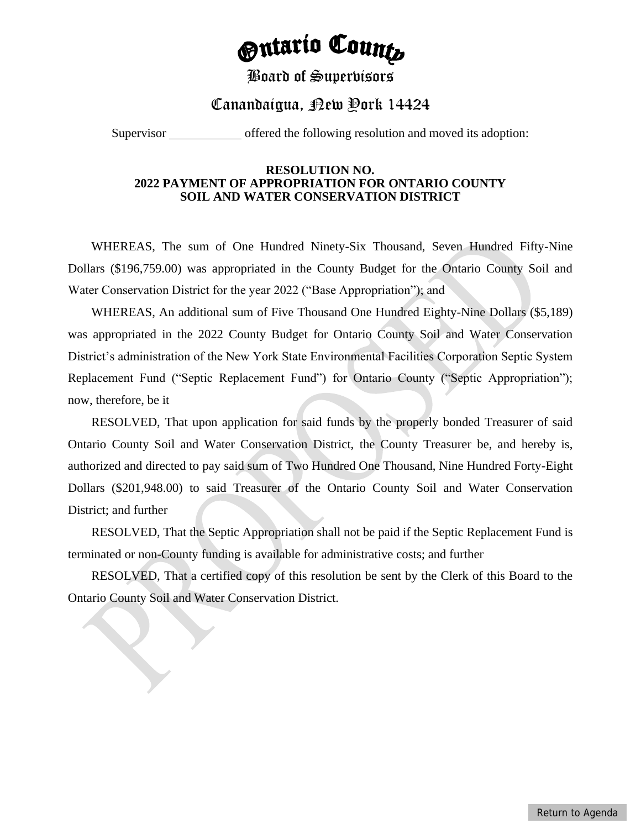# **Ontario Counts**

## Board of Supervisors

## Canandaigua, Rew Pork 14424

<span id="page-14-0"></span>Supervisor offered the following resolution and moved its adoption:

#### **RESOLUTION NO. 2022 PAYMENT OF APPROPRIATION FOR ONTARIO COUNTY SOIL AND WATER CONSERVATION DISTRICT**

WHEREAS, The sum of One Hundred Ninety-Six Thousand, Seven Hundred Fifty-Nine Dollars (\$196,759.00) was appropriated in the County Budget for the Ontario County Soil and Water Conservation District for the year 2022 ("Base Appropriation"); and

WHEREAS, An additional sum of Five Thousand One Hundred Eighty-Nine Dollars (\$5,189) was appropriated in the 2022 County Budget for Ontario County Soil and Water Conservation District's administration of the New York State Environmental Facilities Corporation Septic System Replacement Fund ("Septic Replacement Fund") for Ontario County ("Septic Appropriation"); now, therefore, be it

RESOLVED, That upon application for said funds by the properly bonded Treasurer of said Ontario County Soil and Water Conservation District, the County Treasurer be, and hereby is, authorized and directed to pay said sum of Two Hundred One Thousand, Nine Hundred Forty-Eight Dollars (\$201,948.00) to said Treasurer of the Ontario County Soil and Water Conservation District; and further

RESOLVED, That the Septic Appropriation shall not be paid if the Septic Replacement Fund is terminated or non-County funding is available for administrative costs; and further

RESOLVED, That a certified copy of this resolution be sent by the Clerk of this Board to the Ontario County Soil and Water Conservation District.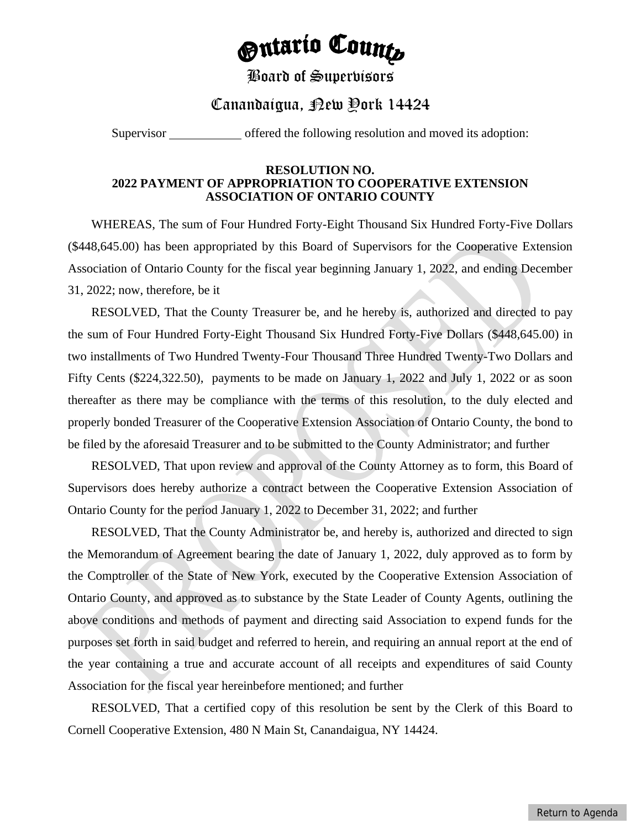# **Ontario Counts**

## Board of Supervisors

## Canandaigua, Rew Pork 14424

<span id="page-15-0"></span>Supervisor offered the following resolution and moved its adoption:

#### **RESOLUTION NO. 2022 PAYMENT OF APPROPRIATION TO COOPERATIVE EXTENSION ASSOCIATION OF ONTARIO COUNTY**

WHEREAS, The sum of Four Hundred Forty-Eight Thousand Six Hundred Forty-Five Dollars (\$448,645.00) has been appropriated by this Board of Supervisors for the Cooperative Extension Association of Ontario County for the fiscal year beginning January 1, 2022, and ending December 31, 2022; now, therefore, be it

RESOLVED, That the County Treasurer be, and he hereby is, authorized and directed to pay the sum of Four Hundred Forty-Eight Thousand Six Hundred Forty-Five Dollars (\$448,645.00) in two installments of Two Hundred Twenty-Four Thousand Three Hundred Twenty-Two Dollars and Fifty Cents (\$224,322.50), payments to be made on January 1, 2022 and July 1, 2022 or as soon thereafter as there may be compliance with the terms of this resolution, to the duly elected and properly bonded Treasurer of the Cooperative Extension Association of Ontario County, the bond to be filed by the aforesaid Treasurer and to be submitted to the County Administrator; and further

RESOLVED, That upon review and approval of the County Attorney as to form, this Board of Supervisors does hereby authorize a contract between the Cooperative Extension Association of Ontario County for the period January 1, 2022 to December 31, 2022; and further

RESOLVED, That the County Administrator be, and hereby is, authorized and directed to sign the Memorandum of Agreement bearing the date of January 1, 2022, duly approved as to form by the Comptroller of the State of New York, executed by the Cooperative Extension Association of Ontario County, and approved as to substance by the State Leader of County Agents, outlining the above conditions and methods of payment and directing said Association to expend funds for the purposes set forth in said budget and referred to herein, and requiring an annual report at the end of the year containing a true and accurate account of all receipts and expenditures of said County Association for the fiscal year hereinbefore mentioned; and further

RESOLVED, That a certified copy of this resolution be sent by the Clerk of this Board to Cornell Cooperative Extension, 480 N Main St, Canandaigua, NY 14424.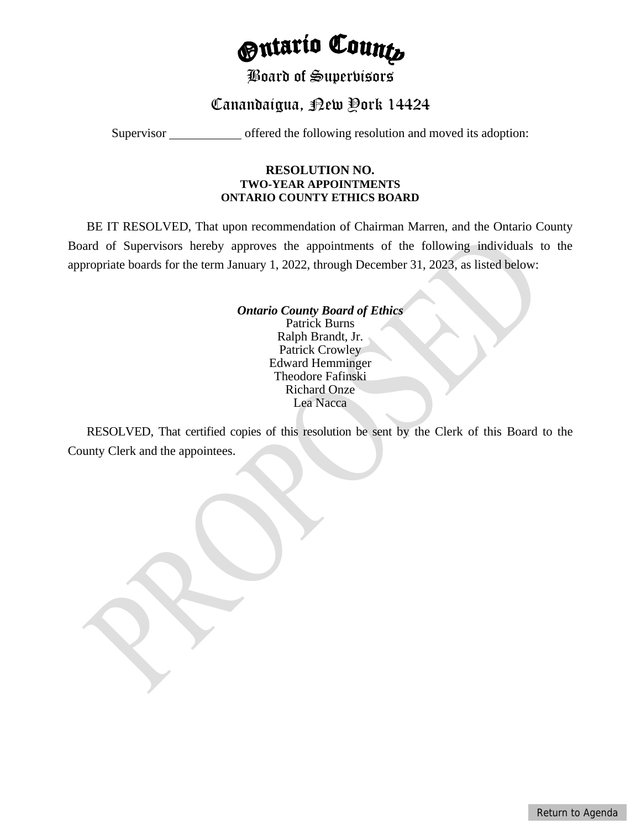# *<u>Ontario Counts</u>*

## Board of Supervisors

# Canandaigua, Rew Pork 14424

<span id="page-17-0"></span>Supervisor offered the following resolution and moved its adoption:

### **RESOLUTION NO. TWO-YEAR APPOINTMENTS ONTARIO COUNTY ETHICS BOARD**

BE IT RESOLVED, That upon recommendation of Chairman Marren, and the Ontario County Board of Supervisors hereby approves the appointments of the following individuals to the appropriate boards for the term January 1, 2022, through December 31, 2023, as listed below:

> *Ontario County Board of Ethics* Patrick Burns Ralph Brandt, Jr. Patrick Crowley Edward Hemminger Theodore Fafinski Richard Onze Lea Nacca

RESOLVED, That certified copies of this resolution be sent by the Clerk of this Board to the County Clerk and the appointees.